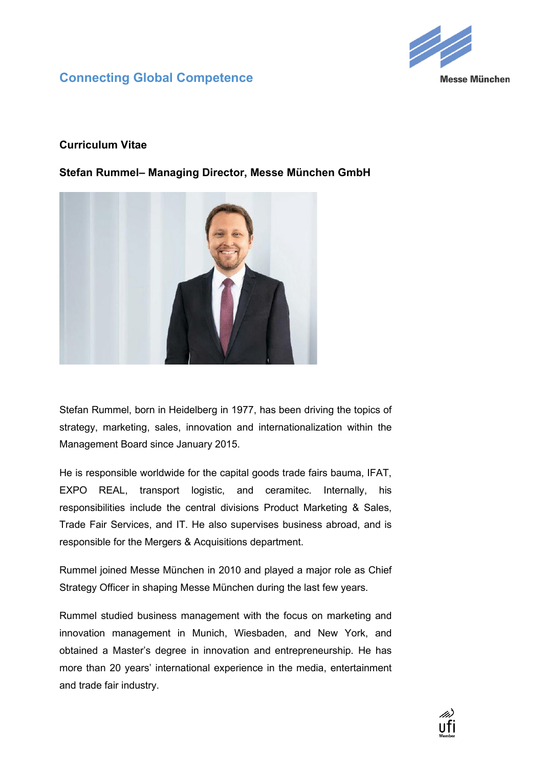

## **Connecting Global Competence**

## **Curriculum Vitae**

**Stefan Rummel– Managing Director, Messe München GmbH**



Stefan Rummel, born in Heidelberg in 1977, has been driving the topics of strategy, marketing, sales, innovation and internationalization within the Management Board since January 2015.

He is responsible worldwide for the capital goods trade fairs bauma, IFAT, EXPO REAL, transport logistic, and ceramitec. Internally, his responsibilities include the central divisions Product Marketing & Sales, Trade Fair Services, and IT. He also supervises business abroad, and is responsible for the Mergers & Acquisitions department.

Rummel joined Messe München in 2010 and played a major role as Chief Strategy Officer in shaping Messe München during the last few years.

Rummel studied business management with the focus on marketing and innovation management in Munich, Wiesbaden, and New York, and obtained a Master's degree in innovation and entrepreneurship. He has more than 20 years' international experience in the media, entertainment and trade fair industry.